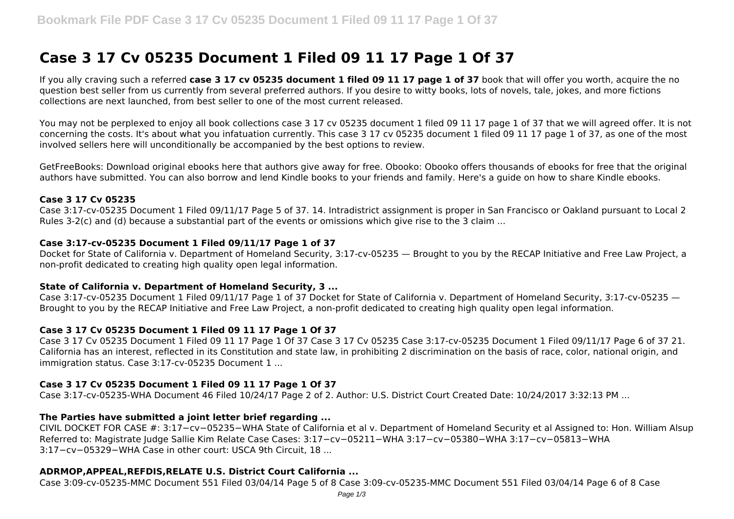# **Case 3 17 Cv 05235 Document 1 Filed 09 11 17 Page 1 Of 37**

If you ally craving such a referred **case 3 17 cv 05235 document 1 filed 09 11 17 page 1 of 37** book that will offer you worth, acquire the no question best seller from us currently from several preferred authors. If you desire to witty books, lots of novels, tale, jokes, and more fictions collections are next launched, from best seller to one of the most current released.

You may not be perplexed to enjoy all book collections case 3 17 cv 05235 document 1 filed 09 11 17 page 1 of 37 that we will agreed offer. It is not concerning the costs. It's about what you infatuation currently. This case 3 17 cv 05235 document 1 filed 09 11 17 page 1 of 37, as one of the most involved sellers here will unconditionally be accompanied by the best options to review.

GetFreeBooks: Download original ebooks here that authors give away for free. Obooko: Obooko offers thousands of ebooks for free that the original authors have submitted. You can also borrow and lend Kindle books to your friends and family. Here's a guide on how to share Kindle ebooks.

## **Case 3 17 Cv 05235**

Case 3:17-cv-05235 Document 1 Filed 09/11/17 Page 5 of 37. 14. Intradistrict assignment is proper in San Francisco or Oakland pursuant to Local 2 Rules 3-2(c) and (d) because a substantial part of the events or omissions which give rise to the 3 claim ...

## **Case 3:17-cv-05235 Document 1 Filed 09/11/17 Page 1 of 37**

Docket for State of California v. Department of Homeland Security, 3:17-cv-05235 — Brought to you by the RECAP Initiative and Free Law Project, a non-profit dedicated to creating high quality open legal information.

## **State of California v. Department of Homeland Security, 3 ...**

Case 3:17-cv-05235 Document 1 Filed 09/11/17 Page 1 of 37 Docket for State of California v. Department of Homeland Security, 3:17-cv-05235 — Brought to you by the RECAP Initiative and Free Law Project, a non-profit dedicated to creating high quality open legal information.

## **Case 3 17 Cv 05235 Document 1 Filed 09 11 17 Page 1 Of 37**

Case 3 17 Cv 05235 Document 1 Filed 09 11 17 Page 1 Of 37 Case 3 17 Cv 05235 Case 3:17-cv-05235 Document 1 Filed 09/11/17 Page 6 of 37 21. California has an interest, reflected in its Constitution and state law, in prohibiting 2 discrimination on the basis of race, color, national origin, and immigration status. Case 3:17-cv-05235 Document 1 ...

## **Case 3 17 Cv 05235 Document 1 Filed 09 11 17 Page 1 Of 37**

Case 3:17-cv-05235-WHA Document 46 Filed 10/24/17 Page 2 of 2. Author: U.S. District Court Created Date: 10/24/2017 3:32:13 PM ...

## **The Parties have submitted a joint letter brief regarding ...**

CIVIL DOCKET FOR CASE #: 3:17−cv−05235−WHA State of California et al v. Department of Homeland Security et al Assigned to: Hon. William Alsup Referred to: Magistrate Judge Sallie Kim Relate Case Cases: 3:17−cv−05211−WHA 3:17−cv−05380−WHA 3:17−cv−05813−WHA 3:17−cv−05329−WHA Case in other court: USCA 9th Circuit, 18 ...

## **ADRMOP,APPEAL,REFDIS,RELATE U.S. District Court California ...**

Case 3:09-cv-05235-MMC Document 551 Filed 03/04/14 Page 5 of 8 Case 3:09-cv-05235-MMC Document 551 Filed 03/04/14 Page 6 of 8 Case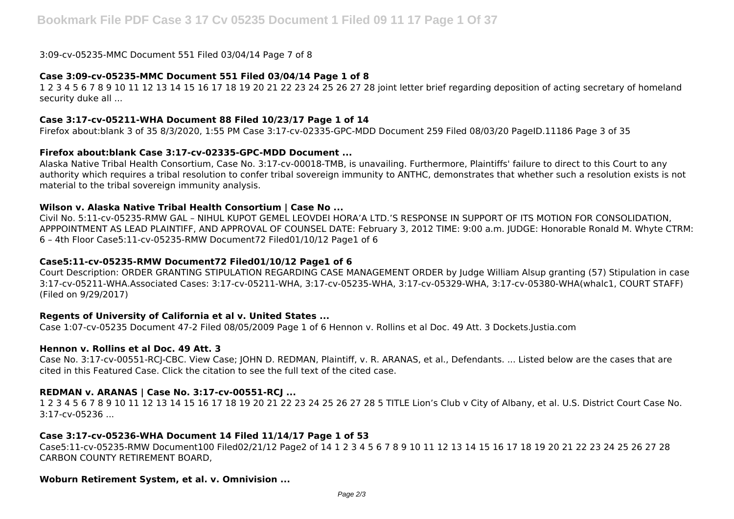3:09-cv-05235-MMC Document 551 Filed 03/04/14 Page 7 of 8

## **Case 3:09-cv-05235-MMC Document 551 Filed 03/04/14 Page 1 of 8**

1 2 3 4 5 6 7 8 9 10 11 12 13 14 15 16 17 18 19 20 21 22 23 24 25 26 27 28 joint letter brief regarding deposition of acting secretary of homeland security duke all ...

## **Case 3:17-cv-05211-WHA Document 88 Filed 10/23/17 Page 1 of 14**

Firefox about:blank 3 of 35 8/3/2020, 1:55 PM Case 3:17-cv-02335-GPC-MDD Document 259 Filed 08/03/20 PageID.11186 Page 3 of 35

## **Firefox about:blank Case 3:17-cv-02335-GPC-MDD Document ...**

Alaska Native Tribal Health Consortium, Case No. 3:17-cv-00018-TMB, is unavailing. Furthermore, Plaintiffs' failure to direct to this Court to any authority which requires a tribal resolution to confer tribal sovereign immunity to ANTHC, demonstrates that whether such a resolution exists is not material to the tribal sovereign immunity analysis.

## **Wilson v. Alaska Native Tribal Health Consortium | Case No ...**

Civil No. 5:11-cv-05235-RMW GAL – NIHUL KUPOT GEMEL LEOVDEI HORA'A LTD.'S RESPONSE IN SUPPORT OF ITS MOTION FOR CONSOLIDATION, APPPOINTMENT AS LEAD PLAINTIFF, AND APPROVAL OF COUNSEL DATE: February 3, 2012 TIME: 9:00 a.m. JUDGE: Honorable Ronald M. Whyte CTRM: 6 – 4th Floor Case5:11-cv-05235-RMW Document72 Filed01/10/12 Page1 of 6

#### **Case5:11-cv-05235-RMW Document72 Filed01/10/12 Page1 of 6**

Court Description: ORDER GRANTING STIPULATION REGARDING CASE MANAGEMENT ORDER by Judge William Alsup granting (57) Stipulation in case 3:17-cv-05211-WHA.Associated Cases: 3:17-cv-05211-WHA, 3:17-cv-05235-WHA, 3:17-cv-05329-WHA, 3:17-cv-05380-WHA(whalc1, COURT STAFF) (Filed on 9/29/2017)

## **Regents of University of California et al v. United States ...**

Case 1:07-cv-05235 Document 47-2 Filed 08/05/2009 Page 1 of 6 Hennon v. Rollins et al Doc. 49 Att. 3 Dockets.Justia.com

## **Hennon v. Rollins et al Doc. 49 Att. 3**

Case No. 3:17-cv-00551-RCJ-CBC. View Case; JOHN D. REDMAN, Plaintiff, v. R. ARANAS, et al., Defendants. ... Listed below are the cases that are cited in this Featured Case. Click the citation to see the full text of the cited case.

## **REDMAN v. ARANAS | Case No. 3:17-cv-00551-RCJ ...**

1 2 3 4 5 6 7 8 9 10 11 12 13 14 15 16 17 18 19 20 21 22 23 24 25 26 27 28 5 TITLE Lion's Club v City of Albany, et al. U.S. District Court Case No. 3:17-cv-05236 ...

## **Case 3:17-cv-05236-WHA Document 14 Filed 11/14/17 Page 1 of 53**

Case5:11-cv-05235-RMW Document100 Filed02/21/12 Page2 of 14 1 2 3 4 5 6 7 8 9 10 11 12 13 14 15 16 17 18 19 20 21 22 23 24 25 26 27 28 CARBON COUNTY RETIREMENT BOARD,

#### **Woburn Retirement System, et al. v. Omnivision ...**